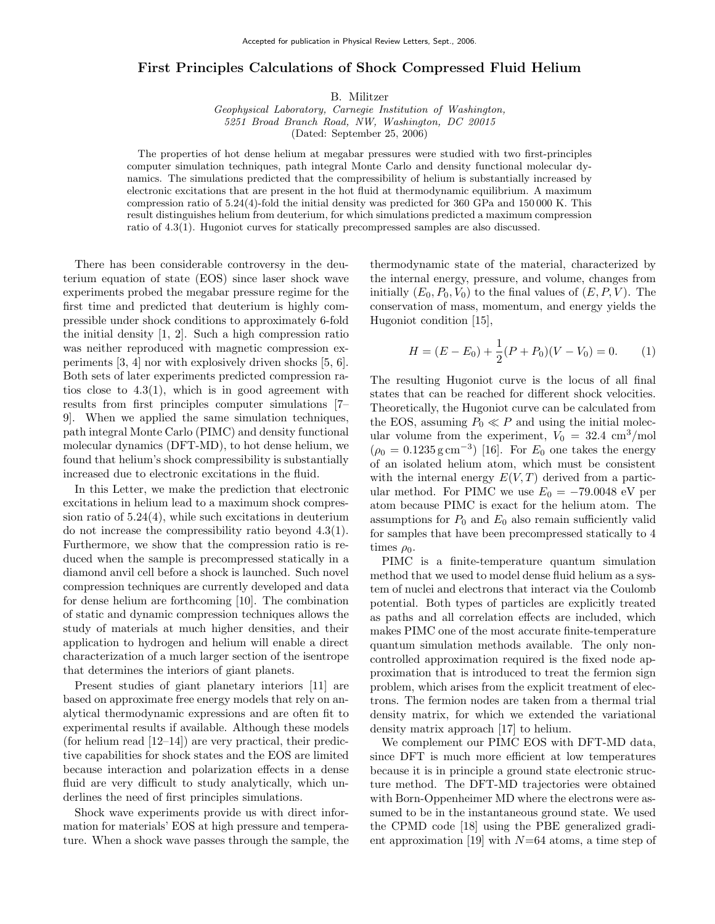## First Principles Calculations of Shock Compressed Fluid Helium

B. Militzer

Geophysical Laboratory, Carnegie Institution of Washington, 5251 Broad Branch Road, NW, Washington, DC 20015 (Dated: September 25, 2006)

The properties of hot dense helium at megabar pressures were studied with two first-principles computer simulation techniques, path integral Monte Carlo and density functional molecular dynamics. The simulations predicted that the compressibility of helium is substantially increased by electronic excitations that are present in the hot fluid at thermodynamic equilibrium. A maximum compression ratio of 5.24(4)-fold the initial density was predicted for 360 GPa and 150 000 K. This result distinguishes helium from deuterium, for which simulations predicted a maximum compression ratio of 4.3(1). Hugoniot curves for statically precompressed samples are also discussed.

There has been considerable controversy in the deuterium equation of state (EOS) since laser shock wave experiments probed the megabar pressure regime for the first time and predicted that deuterium is highly compressible under shock conditions to approximately 6-fold the initial density [1, 2]. Such a high compression ratio was neither reproduced with magnetic compression experiments [3, 4] nor with explosively driven shocks [5, 6]. Both sets of later experiments predicted compression ratios close to 4.3(1), which is in good agreement with results from first principles computer simulations [7– 9]. When we applied the same simulation techniques, path integral Monte Carlo (PIMC) and density functional molecular dynamics (DFT-MD), to hot dense helium, we found that helium's shock compressibility is substantially increased due to electronic excitations in the fluid.

In this Letter, we make the prediction that electronic excitations in helium lead to a maximum shock compression ratio of 5.24(4), while such excitations in deuterium do not increase the compressibility ratio beyond 4.3(1). Furthermore, we show that the compression ratio is reduced when the sample is precompressed statically in a diamond anvil cell before a shock is launched. Such novel compression techniques are currently developed and data for dense helium are forthcoming [10]. The combination of static and dynamic compression techniques allows the study of materials at much higher densities, and their application to hydrogen and helium will enable a direct characterization of a much larger section of the isentrope that determines the interiors of giant planets.

Present studies of giant planetary interiors [11] are based on approximate free energy models that rely on analytical thermodynamic expressions and are often fit to experimental results if available. Although these models (for helium read  $(12-14)$ ) are very practical, their predictive capabilities for shock states and the EOS are limited because interaction and polarization effects in a dense fluid are very difficult to study analytically, which underlines the need of first principles simulations.

Shock wave experiments provide us with direct information for materials' EOS at high pressure and temperature. When a shock wave passes through the sample, the

thermodynamic state of the material, characterized by the internal energy, pressure, and volume, changes from initially  $(E_0, P_0, V_0)$  to the final values of  $(E, P, V)$ . The conservation of mass, momentum, and energy yields the Hugoniot condition [15],

$$
H = (E - E_0) + \frac{1}{2}(P + P_0)(V - V_0) = 0.
$$
 (1)

The resulting Hugoniot curve is the locus of all final states that can be reached for different shock velocities. Theoretically, the Hugoniot curve can be calculated from the EOS, assuming  $P_0 \ll P$  and using the initial molecular volume from the experiment,  $V_0 = 32.4 \text{ cm}^3/\text{mol}$  $(\rho_0 = 0.1235 \,\mathrm{g\,cm^{-3}})$  [16]. For  $E_0$  one takes the energy of an isolated helium atom, which must be consistent with the internal energy  $E(V,T)$  derived from a particular method. For PIMC we use  $E_0 = -79.0048$  eV per atom because PIMC is exact for the helium atom. The assumptions for  $P_0$  and  $E_0$  also remain sufficiently valid for samples that have been precompressed statically to 4 times  $\rho_0$ .

PIMC is a finite-temperature quantum simulation method that we used to model dense fluid helium as a system of nuclei and electrons that interact via the Coulomb potential. Both types of particles are explicitly treated as paths and all correlation effects are included, which makes PIMC one of the most accurate finite-temperature quantum simulation methods available. The only noncontrolled approximation required is the fixed node approximation that is introduced to treat the fermion sign problem, which arises from the explicit treatment of electrons. The fermion nodes are taken from a thermal trial density matrix, for which we extended the variational density matrix approach [17] to helium.

We complement our PIMC EOS with DFT-MD data, since DFT is much more efficient at low temperatures because it is in principle a ground state electronic structure method. The DFT-MD trajectories were obtained with Born-Oppenheimer MD where the electrons were assumed to be in the instantaneous ground state. We used the CPMD code [18] using the PBE generalized gradient approximation [19] with  $N=64$  atoms, a time step of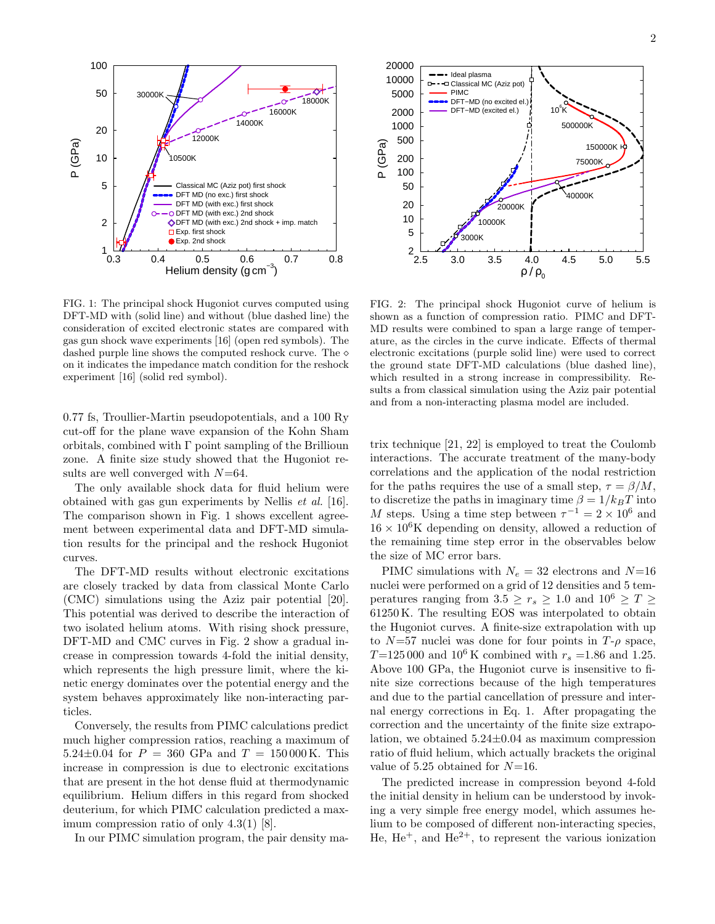

FIG. 1: The principal shock Hugoniot curves computed using DFT-MD with (solid line) and without (blue dashed line) the consideration of excited electronic states are compared with gas gun shock wave experiments [16] (open red symbols). The dashed purple line shows the computed reshock curve. The  $\diamond$ on it indicates the impedance match condition for the reshock experiment [16] (solid red symbol).

0.77 fs, Troullier-Martin pseudopotentials, and a 100 Ry cut-off for the plane wave expansion of the Kohn Sham orbitals, combined with  $\Gamma$  point sampling of the Brillioun zone. A finite size study showed that the Hugoniot results are well converged with  $N=64$ .

The only available shock data for fluid helium were obtained with gas gun experiments by Nellis et al. [16]. The comparison shown in Fig. 1 shows excellent agreement between experimental data and DFT-MD simulation results for the principal and the reshock Hugoniot curves.

The DFT-MD results without electronic excitations are closely tracked by data from classical Monte Carlo (CMC) simulations using the Aziz pair potential [20]. This potential was derived to describe the interaction of two isolated helium atoms. With rising shock pressure, DFT-MD and CMC curves in Fig. 2 show a gradual increase in compression towards 4-fold the initial density, which represents the high pressure limit, where the kinetic energy dominates over the potential energy and the system behaves approximately like non-interacting particles.

Conversely, the results from PIMC calculations predict much higher compression ratios, reaching a maximum of 5.24 $\pm$ 0.04 for  $P = 360$  GPa and  $T = 150000$ K. This increase in compression is due to electronic excitations that are present in the hot dense fluid at thermodynamic equilibrium. Helium differs in this regard from shocked deuterium, for which PIMC calculation predicted a maximum compression ratio of only 4.3(1) [8].

In our PIMC simulation program, the pair density ma-



FIG. 2: The principal shock Hugoniot curve of helium is shown as a function of compression ratio. PIMC and DFT-MD results were combined to span a large range of temperature, as the circles in the curve indicate. Effects of thermal electronic excitations (purple solid line) were used to correct the ground state DFT-MD calculations (blue dashed line), which resulted in a strong increase in compressibility. Results a from classical simulation using the Aziz pair potential and from a non-interacting plasma model are included.

trix technique [21, 22] is employed to treat the Coulomb interactions. The accurate treatment of the many-body correlations and the application of the nodal restriction for the paths requires the use of a small step,  $\tau = \beta/M$ , to discretize the paths in imaginary time  $\beta = 1/k_BT$  into M steps. Using a time step between  $\tau^{-1} = 2 \times 10^6$  and  $16 \times 10^6$ K depending on density, allowed a reduction of the remaining time step error in the observables below the size of MC error bars.

PIMC simulations with  $N_e = 32$  electrons and  $N=16$ nuclei were performed on a grid of 12 densities and 5 temperatures ranging from  $3.5 \ge r_s \ge 1.0$  and  $10^6 \ge T \ge$ 61250 K. The resulting EOS was interpolated to obtain the Hugoniot curves. A finite-size extrapolation with up to  $N=57$  nuclei was done for four points in  $T-\rho$  space,  $T=125\,000$  and  $10^6$  K combined with  $r_s = 1.86$  and 1.25. Above 100 GPa, the Hugoniot curve is insensitive to finite size corrections because of the high temperatures and due to the partial cancellation of pressure and internal energy corrections in Eq. 1. After propagating the correction and the uncertainty of the finite size extrapolation, we obtained  $5.24\pm0.04$  as maximum compression ratio of fluid helium, which actually brackets the original value of 5.25 obtained for  $N=16$ .

The predicted increase in compression beyond 4-fold the initial density in helium can be understood by invoking a very simple free energy model, which assumes helium to be composed of different non-interacting species, He,  $He<sup>+</sup>$ , and  $He<sup>2+</sup>$ , to represent the various ionization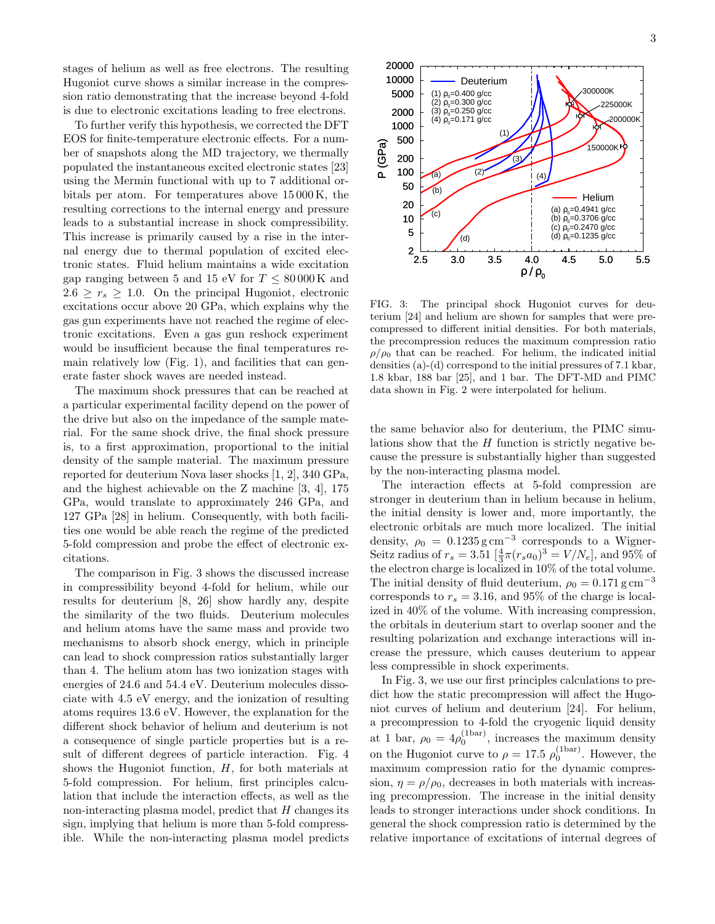stages of helium as well as free electrons. The resulting Hugoniot curve shows a similar increase in the compression ratio demonstrating that the increase beyond 4-fold is due to electronic excitations leading to free electrons.

To further verify this hypothesis, we corrected the DFT EOS for finite-temperature electronic effects. For a number of snapshots along the MD trajectory, we thermally populated the instantaneous excited electronic states [23] using the Mermin functional with up to 7 additional orbitals per atom. For temperatures above 15 000 K, the resulting corrections to the internal energy and pressure leads to a substantial increase in shock compressibility. This increase is primarily caused by a rise in the internal energy due to thermal population of excited electronic states. Fluid helium maintains a wide excitation gap ranging between 5 and 15 eV for  $T \leq 80000 \,\mathrm{K}$  and  $2.6 \geq r_s \geq 1.0$ . On the principal Hugoniot, electronic excitations occur above 20 GPa, which explains why the gas gun experiments have not reached the regime of electronic excitations. Even a gas gun reshock experiment would be insufficient because the final temperatures remain relatively low (Fig. 1), and facilities that can generate faster shock waves are needed instead.

The maximum shock pressures that can be reached at a particular experimental facility depend on the power of the drive but also on the impedance of the sample material. For the same shock drive, the final shock pressure is, to a first approximation, proportional to the initial density of the sample material. The maximum pressure reported for deuterium Nova laser shocks [1, 2], 340 GPa, and the highest achievable on the Z machine [3, 4], 175 GPa, would translate to approximately 246 GPa, and 127 GPa [28] in helium. Consequently, with both facilities one would be able reach the regime of the predicted 5-fold compression and probe the effect of electronic excitations.

The comparison in Fig. 3 shows the discussed increase in compressibility beyond 4-fold for helium, while our results for deuterium [8, 26] show hardly any, despite the similarity of the two fluids. Deuterium molecules and helium atoms have the same mass and provide two mechanisms to absorb shock energy, which in principle can lead to shock compression ratios substantially larger than 4. The helium atom has two ionization stages with energies of 24.6 and 54.4 eV. Deuterium molecules dissociate with 4.5 eV energy, and the ionization of resulting atoms requires 13.6 eV. However, the explanation for the different shock behavior of helium and deuterium is not a consequence of single particle properties but is a result of different degrees of particle interaction. Fig. 4 shows the Hugoniot function,  $H$ , for both materials at 5-fold compression. For helium, first principles calculation that include the interaction effects, as well as the non-interacting plasma model, predict that  $H$  changes its sign, implying that helium is more than 5-fold compressible. While the non-interacting plasma model predicts



FIG. 3: The principal shock Hugoniot curves for deuterium [24] and helium are shown for samples that were precompressed to different initial densities. For both materials, the precompression reduces the maximum compression ratio  $\rho/\rho_0$  that can be reached. For helium, the indicated initial densities (a)-(d) correspond to the initial pressures of 7.1 kbar, 1.8 kbar, 188 bar [25], and 1 bar. The DFT-MD and PIMC data shown in Fig. 2 were interpolated for helium.

the same behavior also for deuterium, the PIMC simulations show that the  $H$  function is strictly negative because the pressure is substantially higher than suggested by the non-interacting plasma model.

The interaction effects at 5-fold compression are stronger in deuterium than in helium because in helium, the initial density is lower and, more importantly, the electronic orbitals are much more localized. The initial density,  $\rho_0 = 0.1235 \,\mathrm{g\,cm^{-3}}$  corresponds to a Wigner-Seitz radius of  $r_s = 3.51 \left[ \frac{4}{3} \pi (r_s a_0)^3 \right] = V/N_e$ , and 95% of the electron charge is localized in 10% of the total volume. The initial density of fluid deuterium,  $\rho_0 = 0.171 \,\mathrm{g\,cm}^{-3}$ corresponds to  $r_s = 3.16$ , and 95% of the charge is localized in 40% of the volume. With increasing compression, the orbitals in deuterium start to overlap sooner and the resulting polarization and exchange interactions will increase the pressure, which causes deuterium to appear less compressible in shock experiments.

In Fig. 3, we use our first principles calculations to predict how the static precompression will affect the Hugoniot curves of helium and deuterium [24]. For helium, a precompression to 4-fold the cryogenic liquid density at 1 bar,  $\rho_0 = 4\rho_0^{\text{(bar)}}$ , increases the maximum density on the Hugoniot curve to  $\rho = 17.5 \rho_0^{(\text{1bar})}$ . However, the maximum compression ratio for the dynamic compression,  $\eta = \rho/\rho_0$ , decreases in both materials with increasing precompression. The increase in the initial density leads to stronger interactions under shock conditions. In general the shock compression ratio is determined by the relative importance of excitations of internal degrees of